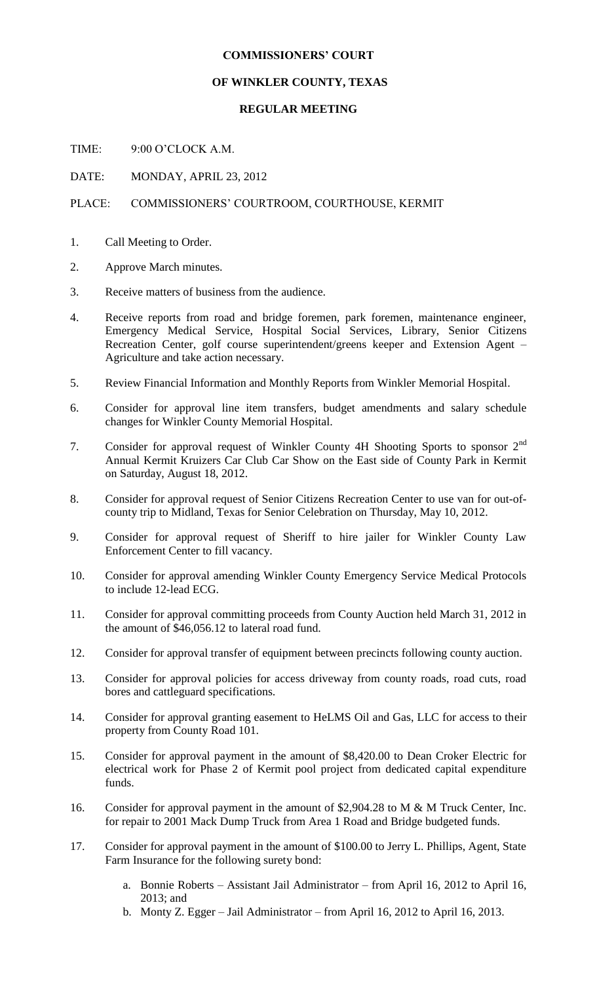## **COMMISSIONERS' COURT**

## **OF WINKLER COUNTY, TEXAS**

## **REGULAR MEETING**

TIME: 9:00 O'CLOCK A.M.

DATE: MONDAY, APRIL 23, 2012

## PLACE: COMMISSIONERS' COURTROOM, COURTHOUSE, KERMIT

- 1. Call Meeting to Order.
- 2. Approve March minutes.
- 3. Receive matters of business from the audience.
- 4. Receive reports from road and bridge foremen, park foremen, maintenance engineer, Emergency Medical Service, Hospital Social Services, Library, Senior Citizens Recreation Center, golf course superintendent/greens keeper and Extension Agent – Agriculture and take action necessary.
- 5. Review Financial Information and Monthly Reports from Winkler Memorial Hospital.
- 6. Consider for approval line item transfers, budget amendments and salary schedule changes for Winkler County Memorial Hospital.
- 7. Consider for approval request of Winkler County 4H Shooting Sports to sponsor 2<sup>nd</sup> Annual Kermit Kruizers Car Club Car Show on the East side of County Park in Kermit on Saturday, August 18, 2012.
- 8. Consider for approval request of Senior Citizens Recreation Center to use van for out-ofcounty trip to Midland, Texas for Senior Celebration on Thursday, May 10, 2012.
- 9. Consider for approval request of Sheriff to hire jailer for Winkler County Law Enforcement Center to fill vacancy.
- 10. Consider for approval amending Winkler County Emergency Service Medical Protocols to include 12-lead ECG.
- 11. Consider for approval committing proceeds from County Auction held March 31, 2012 in the amount of \$46,056.12 to lateral road fund.
- 12. Consider for approval transfer of equipment between precincts following county auction.
- 13. Consider for approval policies for access driveway from county roads, road cuts, road bores and cattleguard specifications.
- 14. Consider for approval granting easement to HeLMS Oil and Gas, LLC for access to their property from County Road 101.
- 15. Consider for approval payment in the amount of \$8,420.00 to Dean Croker Electric for electrical work for Phase 2 of Kermit pool project from dedicated capital expenditure funds.
- 16. Consider for approval payment in the amount of \$2,904.28 to M & M Truck Center, Inc. for repair to 2001 Mack Dump Truck from Area 1 Road and Bridge budgeted funds.
- 17. Consider for approval payment in the amount of \$100.00 to Jerry L. Phillips, Agent, State Farm Insurance for the following surety bond:
	- a. Bonnie Roberts Assistant Jail Administrator from April 16, 2012 to April 16, 2013; and
	- b. Monty Z. Egger Jail Administrator from April 16, 2012 to April 16, 2013.